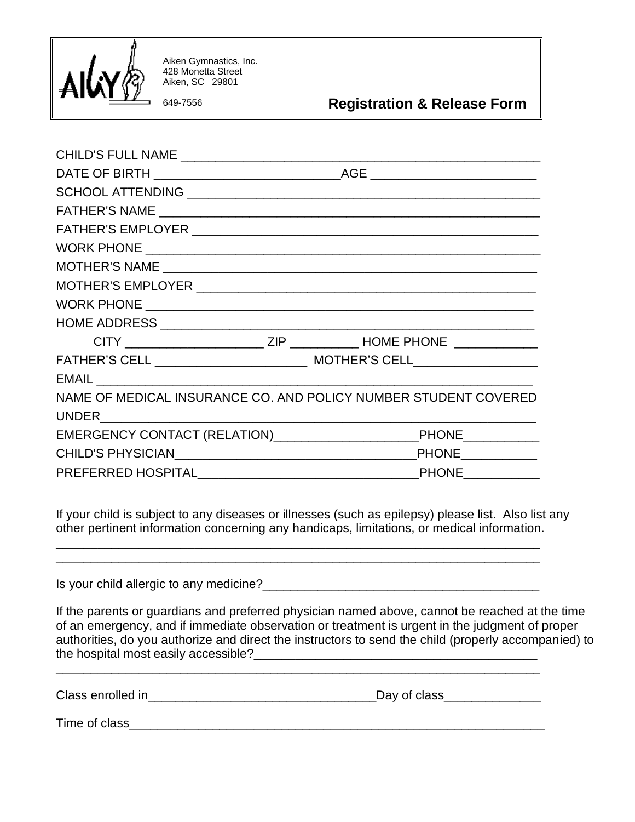

Aiken Gymnastics, Inc. 428 Monetta Street Aiken, SC 29801

649-7556 **Registration & Release Form**

| NAME OF MEDICAL INSURANCE CO. AND POLICY NUMBER STUDENT COVERED |  |
|-----------------------------------------------------------------|--|
|                                                                 |  |
|                                                                 |  |
|                                                                 |  |
|                                                                 |  |
|                                                                 |  |

If your child is subject to any diseases or illnesses (such as epilepsy) please list. Also list any other pertinent information concerning any handicaps, limitations, or medical information.

Is your child allergic to any medicine?\_\_\_\_\_\_\_\_\_\_\_\_\_\_\_\_\_\_\_\_\_\_\_\_\_\_\_\_\_\_\_\_\_\_\_\_\_\_\_\_

\_\_\_\_\_\_\_\_\_\_\_\_\_\_\_\_\_\_\_\_\_\_\_\_\_\_\_\_\_\_\_\_\_\_\_\_\_\_\_\_\_\_\_\_\_\_\_\_\_\_\_\_\_\_\_\_\_\_\_\_\_\_\_\_\_\_\_\_\_\_

\_\_\_\_\_\_\_\_\_\_\_\_\_\_\_\_\_\_\_\_\_\_\_\_\_\_\_\_\_\_\_\_\_\_\_\_\_\_\_\_\_\_\_\_\_\_\_\_\_\_\_\_\_\_\_\_\_\_\_\_\_\_\_\_\_\_\_\_\_\_

If the parents or guardians and preferred physician named above, cannot be reached at the time of an emergency, and if immediate observation or treatment is urgent in the judgment of proper authorities, do you authorize and direct the instructors to send the child (properly accompanied) to the hospital most easily accessible?\_\_\_\_\_\_\_\_\_\_\_\_\_\_\_\_\_\_\_\_\_\_\_\_\_\_\_\_\_\_\_\_\_\_\_\_\_\_\_\_\_

\_\_\_\_\_\_\_\_\_\_\_\_\_\_\_\_\_\_\_\_\_\_\_\_\_\_\_\_\_\_\_\_\_\_\_\_\_\_\_\_\_\_\_\_\_\_\_\_\_\_\_\_\_\_\_\_\_\_\_\_\_\_\_\_\_\_\_\_\_\_

| Class enrolled in | Dav of class |  |
|-------------------|--------------|--|
|                   |              |  |

Time of class\_\_\_\_\_\_\_\_\_\_\_\_\_\_\_\_\_\_\_\_\_\_\_\_\_\_\_\_\_\_\_\_\_\_\_\_\_\_\_\_\_\_\_\_\_\_\_\_\_\_\_\_\_\_\_\_\_\_\_\_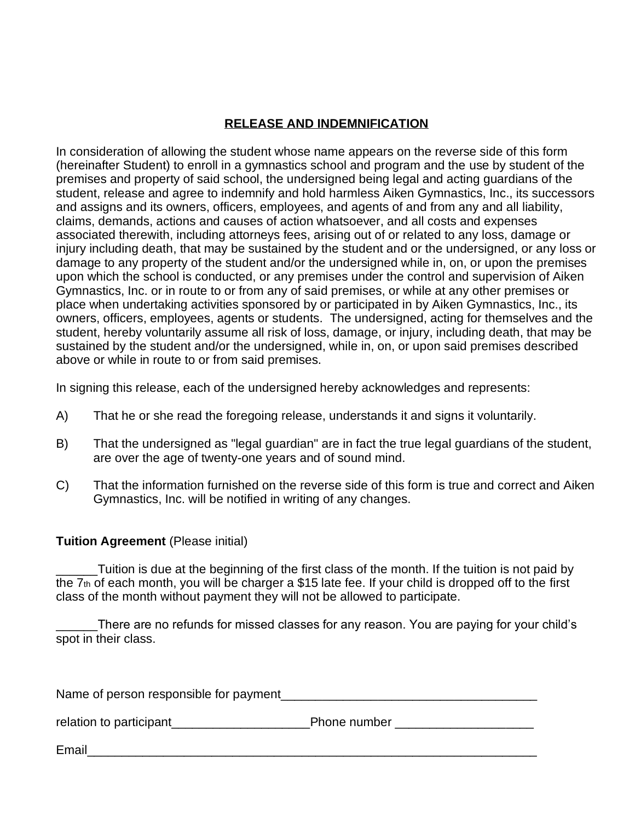## **RELEASE AND INDEMNIFICATION**

In consideration of allowing the student whose name appears on the reverse side of this form (hereinafter Student) to enroll in a gymnastics school and program and the use by student of the premises and property of said school, the undersigned being legal and acting guardians of the student, release and agree to indemnify and hold harmless Aiken Gymnastics, Inc., its successors and assigns and its owners, officers, employees, and agents of and from any and all liability, claims, demands, actions and causes of action whatsoever, and all costs and expenses associated therewith, including attorneys fees, arising out of or related to any loss, damage or injury including death, that may be sustained by the student and or the undersigned, or any loss or damage to any property of the student and/or the undersigned while in, on, or upon the premises upon which the school is conducted, or any premises under the control and supervision of Aiken Gymnastics, Inc. or in route to or from any of said premises, or while at any other premises or place when undertaking activities sponsored by or participated in by Aiken Gymnastics, Inc., its owners, officers, employees, agents or students. The undersigned, acting for themselves and the student, hereby voluntarily assume all risk of loss, damage, or injury, including death, that may be sustained by the student and/or the undersigned, while in, on, or upon said premises described above or while in route to or from said premises.

In signing this release, each of the undersigned hereby acknowledges and represents:

- A) That he or she read the foregoing release, understands it and signs it voluntarily.
- B) That the undersigned as "legal guardian" are in fact the true legal guardians of the student, are over the age of twenty-one years and of sound mind.
- C) That the information furnished on the reverse side of this form is true and correct and Aiken Gymnastics, Inc. will be notified in writing of any changes.

### **Tuition Agreement** (Please initial)

\_\_\_\_\_\_Tuition is due at the beginning of the first class of the month. If the tuition is not paid by the 7th of each month, you will be charger a \$15 late fee. If your child is dropped off to the first class of the month without payment they will not be allowed to participate.

There are no refunds for missed classes for any reason. You are paying for your child's spot in their class.

Name of person responsible for payment\_\_\_\_\_\_\_\_\_\_\_\_\_\_\_\_\_\_\_\_\_\_\_\_\_\_\_\_\_\_\_\_\_\_\_\_\_

relation to participant the set of the Phone number  $\blacksquare$ 

Email\_\_\_\_\_\_\_\_\_\_\_\_\_\_\_\_\_\_\_\_\_\_\_\_\_\_\_\_\_\_\_\_\_\_\_\_\_\_\_\_\_\_\_\_\_\_\_\_\_\_\_\_\_\_\_\_\_\_\_\_\_\_\_\_\_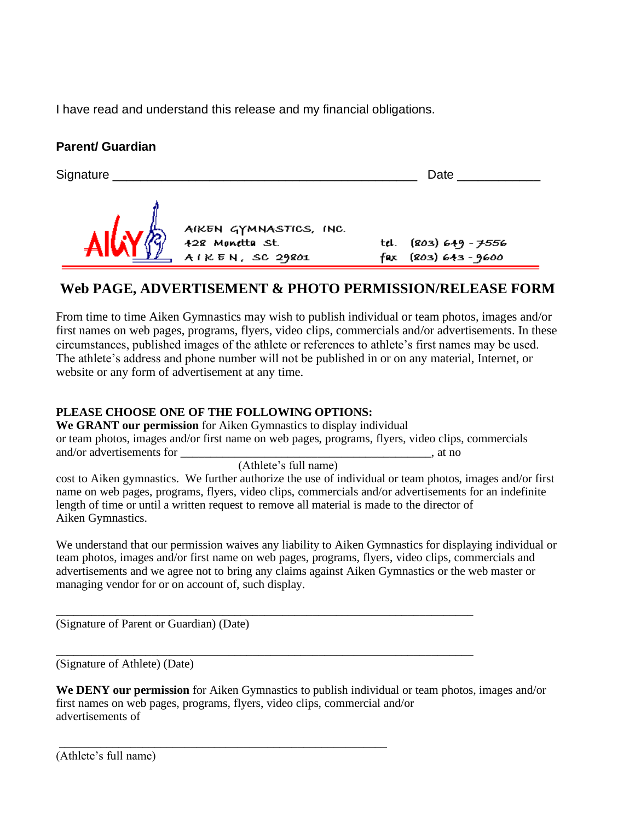I have read and understand this release and my financial obligations.

# **Parent/ Guardian**

| Signature |                                                              |     | Date                                        |  |
|-----------|--------------------------------------------------------------|-----|---------------------------------------------|--|
|           | AIKEN GYMNASTICS, INC.<br>428 Monetta St.<br>AIKEN, SC 29801 | fax | tel. (803) 649 - 7556<br>$(803)$ 643 - 9600 |  |

# **Web PAGE, ADVERTISEMENT & PHOTO PERMISSION/RELEASE FORM**

From time to time Aiken Gymnastics may wish to publish individual or team photos, images and/or first names on web pages, programs, flyers, video clips, commercials and/or advertisements. In these circumstances, published images of the athlete or references to athlete's first names may be used. The athlete's address and phone number will not be published in or on any material, Internet, or website or any form of advertisement at any time.

## **PLEASE CHOOSE ONE OF THE FOLLOWING OPTIONS:**

**We GRANT our permission** for Aiken Gymnastics to display individual or team photos, images and/or first name on web pages, programs, flyers, video clips, commercials and/or advertisements for \_\_\_\_\_\_\_\_\_\_\_\_\_\_\_\_\_\_\_\_\_\_\_\_\_\_\_\_\_\_\_\_\_\_\_\_\_\_\_\_\_\_, at no

(Athlete's full name)

cost to Aiken gymnastics. We further authorize the use of individual or team photos, images and/or first name on web pages, programs, flyers, video clips, commercials and/or advertisements for an indefinite length of time or until a written request to remove all material is made to the director of Aiken Gymnastics.

We understand that our permission waives any liability to Aiken Gymnastics for displaying individual or team photos, images and/or first name on web pages, programs, flyers, video clips, commercials and advertisements and we agree not to bring any claims against Aiken Gymnastics or the web master or managing vendor for or on account of, such display.

\_\_\_\_\_\_\_\_\_\_\_\_\_\_\_\_\_\_\_\_\_\_\_\_\_\_\_\_\_\_\_\_\_\_\_\_\_\_\_\_\_\_\_\_\_\_\_\_\_\_\_\_\_\_\_\_\_\_\_\_\_\_\_\_\_\_\_\_\_\_

\_\_\_\_\_\_\_\_\_\_\_\_\_\_\_\_\_\_\_\_\_\_\_\_\_\_\_\_\_\_\_\_\_\_\_\_\_\_\_\_\_\_\_\_\_\_\_\_\_\_\_\_\_\_\_\_\_\_\_\_\_\_\_\_\_\_\_\_\_\_

\_\_\_\_\_\_\_\_\_\_\_\_\_\_\_\_\_\_\_\_\_\_\_\_\_\_\_\_\_\_\_\_\_\_\_\_\_\_\_\_\_\_\_\_\_\_\_\_\_\_\_\_\_\_\_

(Signature of Parent or Guardian) (Date)

(Signature of Athlete) (Date)

| We DENY our permission for Aiken Gymnastics to publish individual or team photos, images and/or |
|-------------------------------------------------------------------------------------------------|
| first names on web pages, programs, flyers, video clips, commercial and/or                      |
| advertisements of                                                                               |

(Athlete's full name)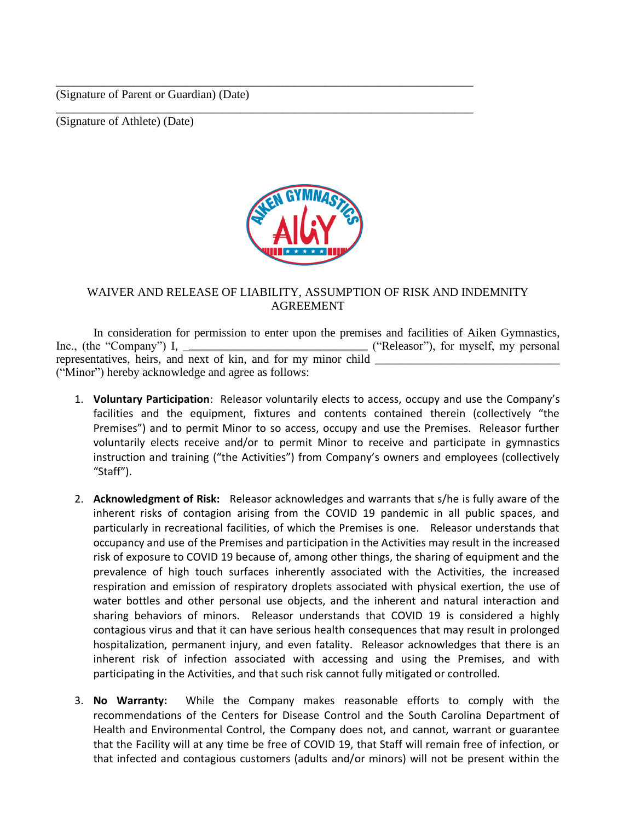(Signature of Parent or Guardian) (Date)

(Signature of Athlete) (Date)



\_\_\_\_\_\_\_\_\_\_\_\_\_\_\_\_\_\_\_\_\_\_\_\_\_\_\_\_\_\_\_\_\_\_\_\_\_\_\_\_\_\_\_\_\_\_\_\_\_\_\_\_\_\_\_\_\_\_\_\_\_\_\_\_\_\_\_\_\_\_

\_\_\_\_\_\_\_\_\_\_\_\_\_\_\_\_\_\_\_\_\_\_\_\_\_\_\_\_\_\_\_\_\_\_\_\_\_\_\_\_\_\_\_\_\_\_\_\_\_\_\_\_\_\_\_\_\_\_\_\_\_\_\_\_\_\_\_\_\_\_

### WAIVER AND RELEASE OF LIABILITY, ASSUMPTION OF RISK AND INDEMNITY AGREEMENT

In consideration for permission to enter upon the premises and facilities of Aiken Gymnastics, Inc., (the "Company") I, \_\_\_\_\_\_\_\_\_\_\_\_\_\_\_\_\_\_\_\_\_\_\_\_\_\_\_\_\_\_\_ ("Releasor"), for myself, my personal representatives, heirs, and next of kin, and for my minor child ("Minor") hereby acknowledge and agree as follows:

- 1. **Voluntary Participation**: Releasor voluntarily elects to access, occupy and use the Company's facilities and the equipment, fixtures and contents contained therein (collectively "the Premises") and to permit Minor to so access, occupy and use the Premises. Releasor further voluntarily elects receive and/or to permit Minor to receive and participate in gymnastics instruction and training ("the Activities") from Company's owners and employees (collectively "Staff").
- 2. **Acknowledgment of Risk:** Releasor acknowledges and warrants that s/he is fully aware of the inherent risks of contagion arising from the COVID 19 pandemic in all public spaces, and particularly in recreational facilities, of which the Premises is one. Releasor understands that occupancy and use of the Premises and participation in the Activities may result in the increased risk of exposure to COVID 19 because of, among other things, the sharing of equipment and the prevalence of high touch surfaces inherently associated with the Activities, the increased respiration and emission of respiratory droplets associated with physical exertion, the use of water bottles and other personal use objects, and the inherent and natural interaction and sharing behaviors of minors. Releasor understands that COVID 19 is considered a highly contagious virus and that it can have serious health consequences that may result in prolonged hospitalization, permanent injury, and even fatality. Releasor acknowledges that there is an inherent risk of infection associated with accessing and using the Premises, and with participating in the Activities, and that such risk cannot fully mitigated or controlled.
- 3. **No Warranty:** While the Company makes reasonable efforts to comply with the recommendations of the Centers for Disease Control and the South Carolina Department of Health and Environmental Control, the Company does not, and cannot, warrant or guarantee that the Facility will at any time be free of COVID 19, that Staff will remain free of infection, or that infected and contagious customers (adults and/or minors) will not be present within the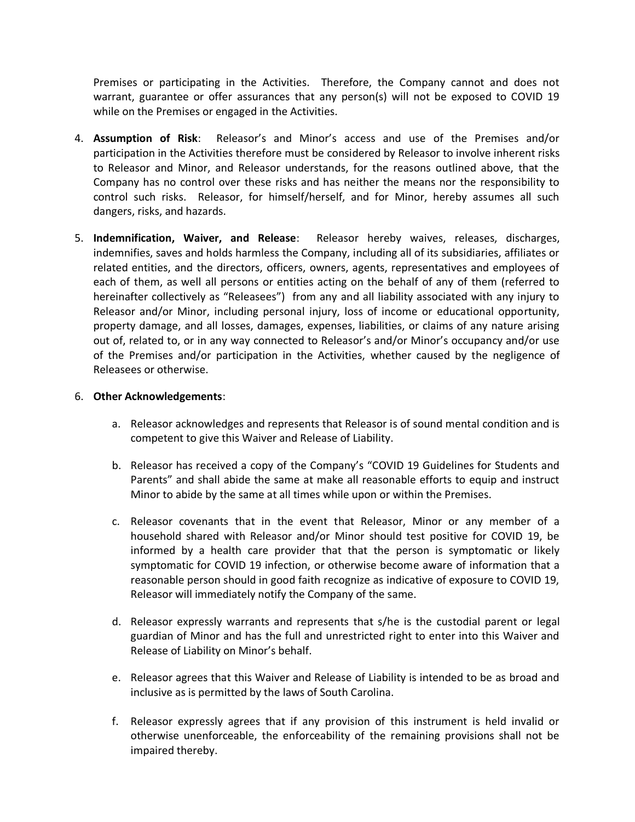Premises or participating in the Activities. Therefore, the Company cannot and does not warrant, guarantee or offer assurances that any person(s) will not be exposed to COVID 19 while on the Premises or engaged in the Activities.

- 4. **Assumption of Risk**: Releasor's and Minor's access and use of the Premises and/or participation in the Activities therefore must be considered by Releasor to involve inherent risks to Releasor and Minor, and Releasor understands, for the reasons outlined above, that the Company has no control over these risks and has neither the means nor the responsibility to control such risks. Releasor, for himself/herself, and for Minor, hereby assumes all such dangers, risks, and hazards.
- 5. **Indemnification, Waiver, and Release**: Releasor hereby waives, releases, discharges, indemnifies, saves and holds harmless the Company, including all of its subsidiaries, affiliates or related entities, and the directors, officers, owners, agents, representatives and employees of each of them, as well all persons or entities acting on the behalf of any of them (referred to hereinafter collectively as "Releasees") from any and all liability associated with any injury to Releasor and/or Minor, including personal injury, loss of income or educational opportunity, property damage, and all losses, damages, expenses, liabilities, or claims of any nature arising out of, related to, or in any way connected to Releasor's and/or Minor's occupancy and/or use of the Premises and/or participation in the Activities, whether caused by the negligence of Releasees or otherwise.

### 6. **Other Acknowledgements**:

- a. Releasor acknowledges and represents that Releasor is of sound mental condition and is competent to give this Waiver and Release of Liability.
- b. Releasor has received a copy of the Company's "COVID 19 Guidelines for Students and Parents" and shall abide the same at make all reasonable efforts to equip and instruct Minor to abide by the same at all times while upon or within the Premises.
- c. Releasor covenants that in the event that Releasor, Minor or any member of a household shared with Releasor and/or Minor should test positive for COVID 19, be informed by a health care provider that that the person is symptomatic or likely symptomatic for COVID 19 infection, or otherwise become aware of information that a reasonable person should in good faith recognize as indicative of exposure to COVID 19, Releasor will immediately notify the Company of the same.
- d. Releasor expressly warrants and represents that s/he is the custodial parent or legal guardian of Minor and has the full and unrestricted right to enter into this Waiver and Release of Liability on Minor's behalf.
- e. Releasor agrees that this Waiver and Release of Liability is intended to be as broad and inclusive as is permitted by the laws of South Carolina.
- f. Releasor expressly agrees that if any provision of this instrument is held invalid or otherwise unenforceable, the enforceability of the remaining provisions shall not be impaired thereby.